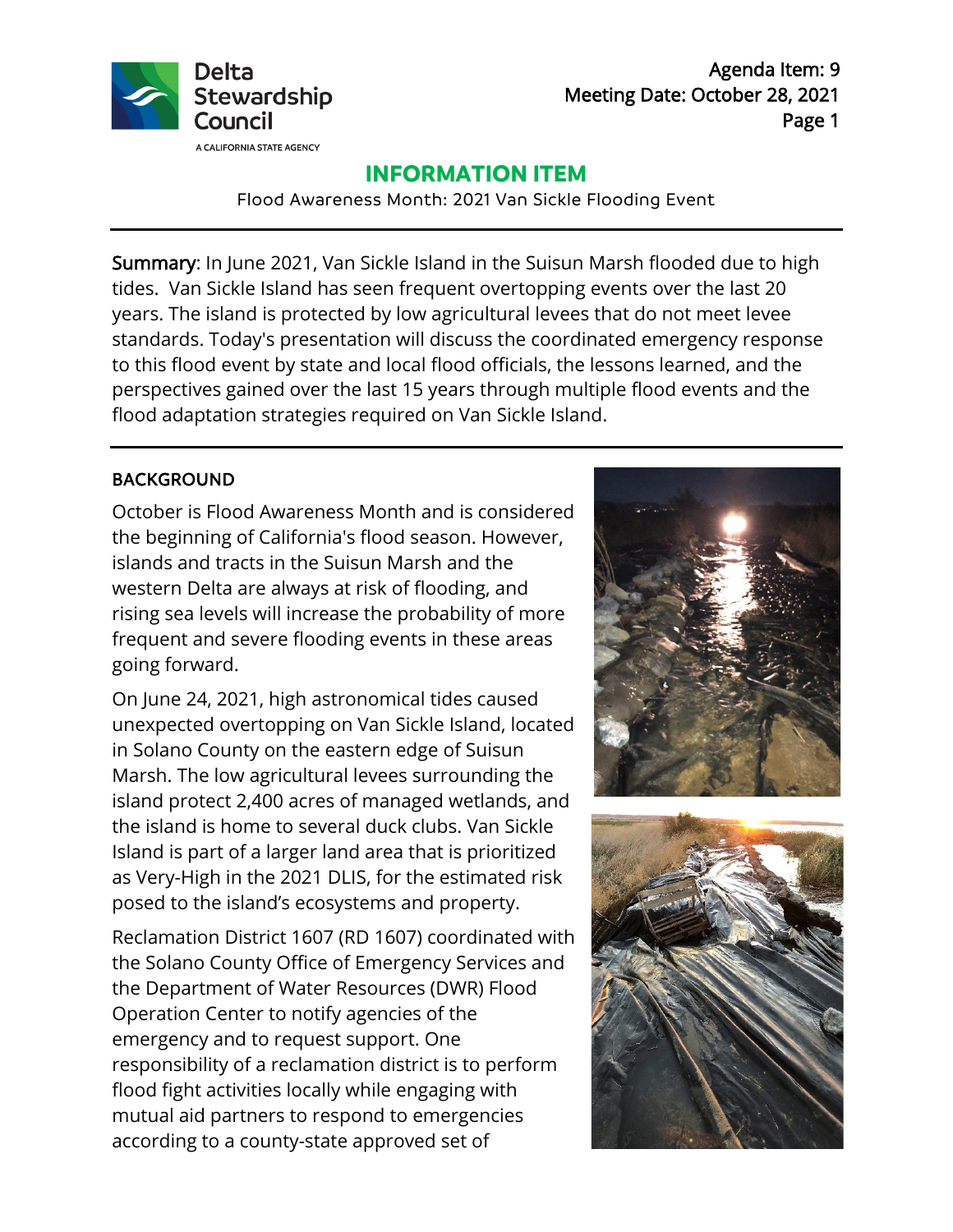

Agenda Item: 9 Meeting Date: October 28, 2021 Page 1

# **INFORMATION ITEM**

Flood Awareness Month: 2021 Van Sickle Flooding Event

Summary: In June 2021, Van Sickle Island in the Suisun Marsh flooded due to high tides. Van Sickle Island has seen frequent overtopping events over the last 20 years. The island is protected by low agricultural levees that do not meet levee standards. Today's presentation will discuss the coordinated emergency response to this flood event by state and local flood officials, the lessons learned, and the perspectives gained over the last 15 years through multiple flood events and the flood adaptation strategies required on Van Sickle Island.

## BACKGROUND

October is Flood Awareness Month and is considered the beginning of California's flood season. However, islands and tracts in the Suisun Marsh and the western Delta are always at risk of flooding, and rising sea levels will increase the probability of more frequent and severe flooding events in these areas going forward.

On June 24, 2021, high astronomical tides caused unexpected overtopping on Van Sickle Island, located in Solano County on the eastern edge of Suisun Marsh. The low agricultural levees surrounding the island protect 2,400 acres of managed wetlands, and the island is home to several duck clubs. Van Sickle Island is part of a larger land area that is prioritized as Very-High in the 2021 DLIS, for the estimated risk posed to the island's ecosystems and property.

Reclamation District 1607 (RD 1607) coordinated with the Solano County Office of Emergency Services and the Department of Water Resources (DWR) Flood Operation Center to notify agencies of the emergency and to request support. One responsibility of a reclamation district is to perform flood fight activities locally while engaging with mutual aid partners to respond to emergencies according to a county-state approved set of



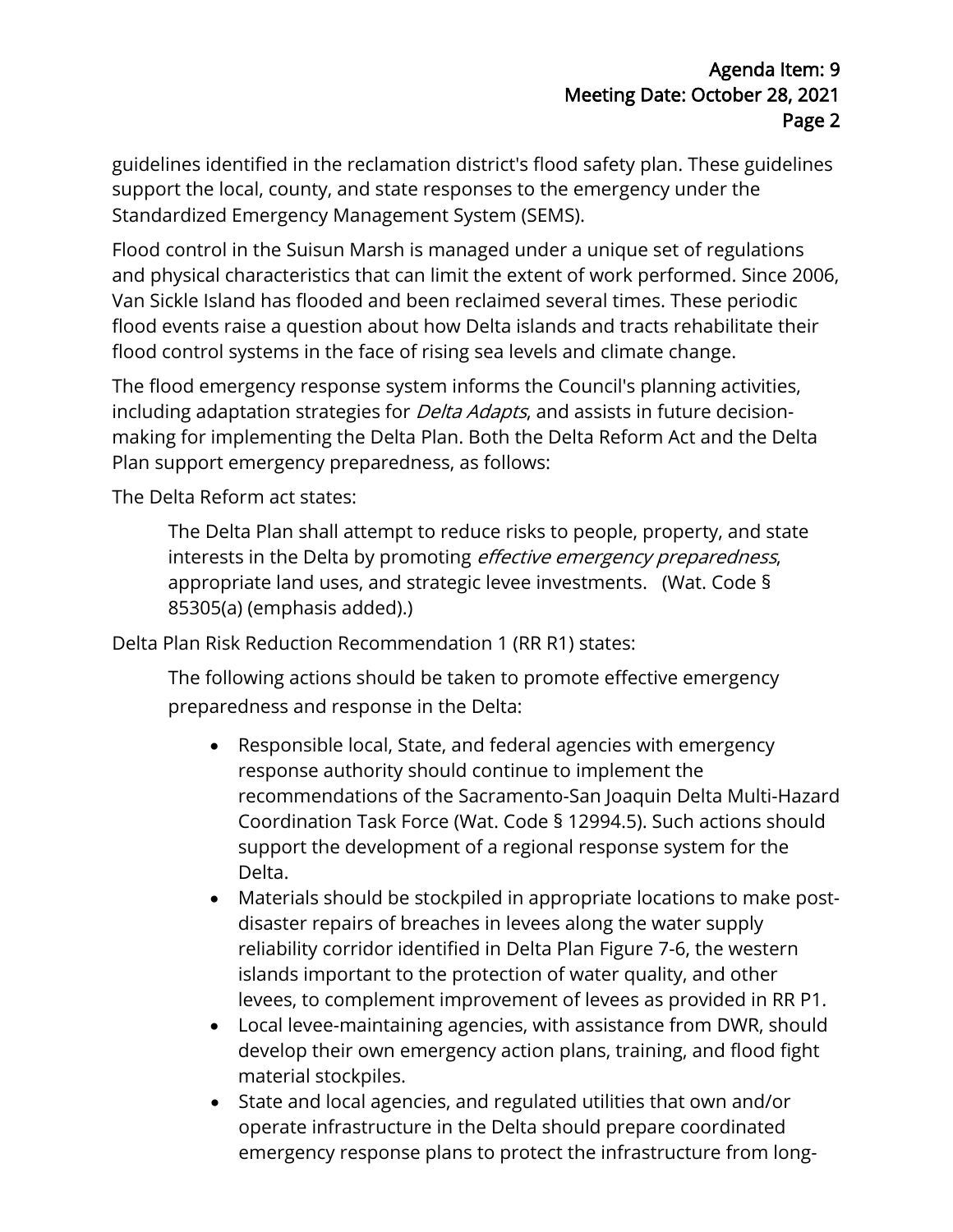guidelines identified in the reclamation district's flood safety plan. These guidelines support the local, county, and state responses to the emergency under the Standardized Emergency Management System (SEMS).

Flood control in the Suisun Marsh is managed under a unique set of regulations and physical characteristics that can limit the extent of work performed. Since 2006, Van Sickle Island has flooded and been reclaimed several times. These periodic flood events raise a question about how Delta islands and tracts rehabilitate their flood control systems in the face of rising sea levels and climate change.

The flood emergency response system informs the Council's planning activities, including adaptation strategies for *Delta Adapts*, and assists in future decisionmaking for implementing the Delta Plan. Both the Delta Reform Act and the Delta Plan support emergency preparedness, as follows:

The Delta Reform act states:

The Delta Plan shall attempt to reduce risks to people, property, and state interests in the Delta by promoting *effective emergency preparedness*, appropriate land uses, and strategic levee investments. (Wat. Code § 85305(a) (emphasis added).)

Delta Plan Risk Reduction Recommendation 1 (RR R1) states:

The following actions should be taken to promote effective emergency preparedness and response in the Delta:

- Responsible local, State, and federal agencies with emergency response authority should continue to implement the recommendations of the Sacramento-San Joaquin Delta Multi-Hazard Coordination Task Force (Wat. Code § 12994.5). Such actions should support the development of a regional response system for the Delta.
- Materials should be stockpiled in appropriate locations to make postdisaster repairs of breaches in levees along the water supply reliability corridor identified in Delta Plan Figure 7-6, the western islands important to the protection of water quality, and other levees, to complement improvement of levees as provided in RR P1.
- Local levee-maintaining agencies, with assistance from DWR, should develop their own emergency action plans, training, and flood fight material stockpiles.
- State and local agencies, and regulated utilities that own and/or operate infrastructure in the Delta should prepare coordinated emergency response plans to protect the infrastructure from long-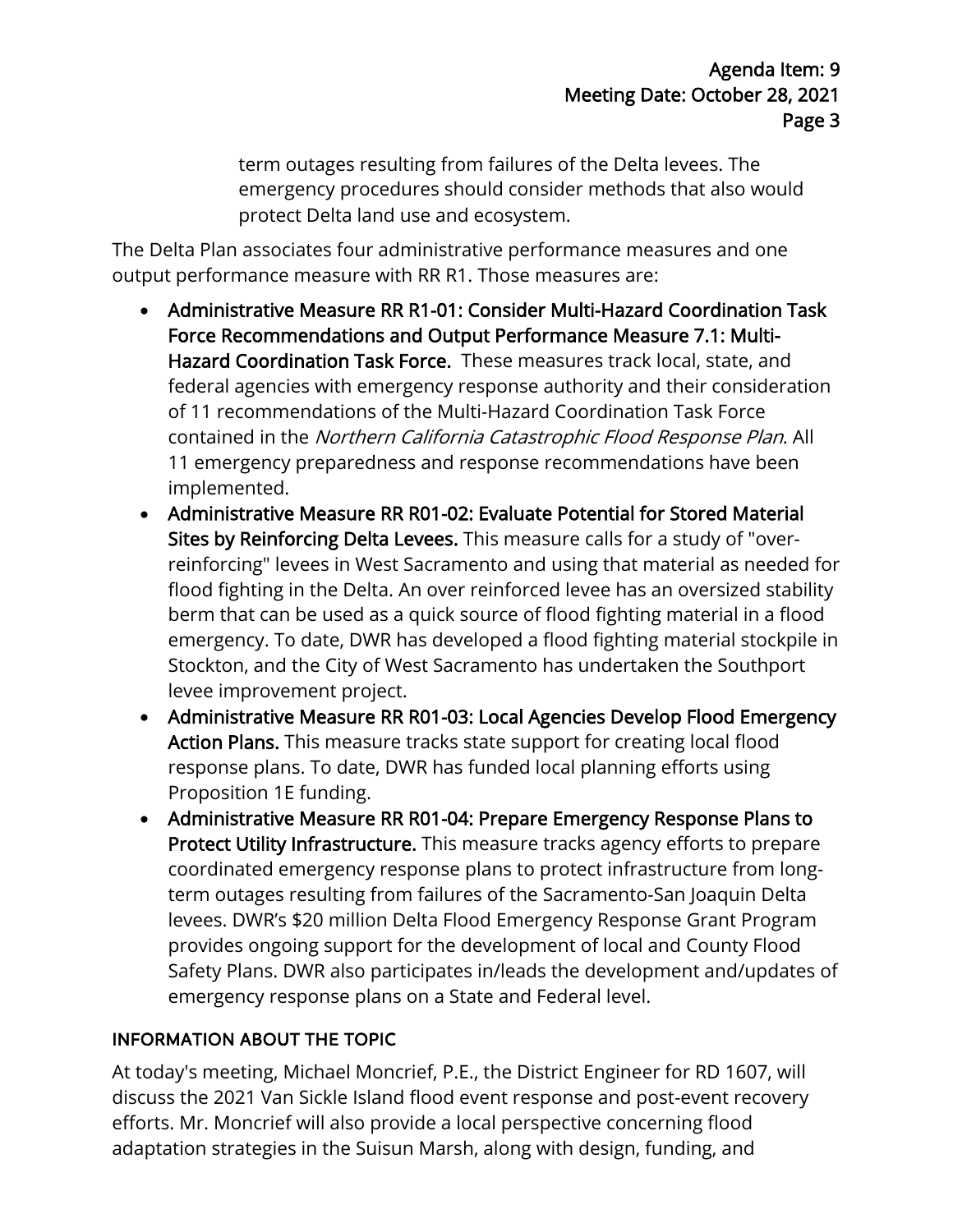term outages resulting from failures of the Delta levees. The emergency procedures should consider methods that also would protect Delta land use and ecosystem.

The Delta Plan associates four administrative performance measures and one output performance measure with RR R1. Those measures are:

- Administrative Measure RR R1-01: Consider Multi-Hazard Coordination Task Force Recommendations and Output Performance Measure 7.1: Multi-Hazard Coordination Task Force. These measures track local, state, and federal agencies with emergency response authority and their consideration of 11 recommendations of the Multi-Hazard Coordination Task Force contained in the Northern California Catastrophic Flood Response Plan. All 11 emergency preparedness and response recommendations have been implemented.
- Administrative Measure RR R01-02: Evaluate Potential for Stored Material Sites by Reinforcing Delta Levees. This measure calls for a study of "overreinforcing" levees in West Sacramento and using that material as needed for flood fighting in the Delta. An over reinforced levee has an oversized stability berm that can be used as a quick source of flood fighting material in a flood emergency. To date, DWR has developed a flood fighting material stockpile in Stockton, and the City of West Sacramento has undertaken the Southport levee improvement project.
- Administrative Measure RR R01-03: Local Agencies Develop Flood Emergency Action Plans. This measure tracks state support for creating local flood response plans. To date, DWR has funded local planning efforts using Proposition 1E funding.
- Administrative Measure RR R01-04: Prepare Emergency Response Plans to Protect Utility Infrastructure. This measure tracks agency efforts to prepare coordinated emergency response plans to protect infrastructure from longterm outages resulting from failures of the Sacramento-San Joaquin Delta levees. DWR's \$20 million Delta Flood Emergency Response Grant Program provides ongoing support for the development of local and County Flood Safety Plans. DWR also participates in/leads the development and/updates of emergency response plans on a State and Federal level.

## INFORMATION ABOUT THE TOPIC

At today's meeting, Michael Moncrief, P.E., the District Engineer for RD 1607, will discuss the 2021 Van Sickle Island flood event response and post-event recovery efforts. Mr. Moncrief will also provide a local perspective concerning flood adaptation strategies in the Suisun Marsh, along with design, funding, and